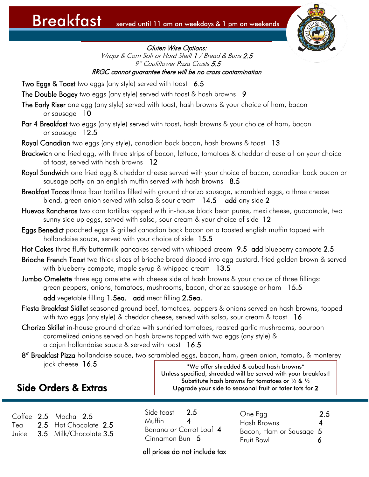

Gluten Wise Options: Wraps & Corn Soft or Hard Shell 1 / Bread & Buns 2.5 9" Cauliflower Pizza Crusts 5.5 RRGC cannot guarantee there will be no cross contamination

- Two Eggs & Toast two eggs (any style) served with toast 6.5
- The Double Bogey two eggs (any style) served with toast & hash browns 9
- The Early Riser one egg (any style) served with toast, hash browns & your choice of ham, bacon or sausage 10
- Par 4 Breakfast two eggs (any style) served with toast, hash browns & your choice of ham, bacon or sausage 12.5
- Royal Canadian two eggs (any style), canadian back bacon, hash browns & toast 13
- Brackwich one fried egg, with three strips of bacon, lettuce, tomatoes & cheddar cheese all on your choice of toast, served with hash browns 12
- Royal Sandwich one fried egg & cheddar cheese served with your choice of bacon, canadian back bacon or sausage patty on an english muffin served with hash browns  $8.5$
- Breakfast Tacos three flour tortillas filled with ground chorizo sausage, scrambled eggs, a three cheese blend, green onion served with salsa & sour cream  $14.5$  add any side 2
- Huevos Rancheros two corn tortillas topped with in-house black bean puree, mexi cheese, guacamole, two sunny side up eggs, served with salsa, sour cream & your choice of side 12
- Eggs Benedict poached eggs & grilled canadian back bacon on a toasted english muffin topped with hollandaise sauce, served with your choice of side 15.5
- Hot Cakes three fluffy buttermilk pancakes served with whipped cream 9.5 add blueberry compote 2.5
- Brioche French Toast two thick slices of brioche bread dipped into egg custard, fried golden brown & served with blueberry compote, maple syrup & whipped cream 13.5
- Jumbo Omelette three egg omelette with cheese side of hash browns & your choice of three fillings: green peppers, onions, tomatoes, mushrooms, bacon, chorizo sausage or ham 15.5 add vegetable filling 1.5ea. add meat filling 2.5ea.
- Fiesta Breakfast Skillet seasoned ground beef, tomatoes, peppers & onions served on hash browns, topped with two eggs (any style) & cheddar cheese, served with salsa, sour cream & toast 16
- Chorizo Skillet in-house ground chorizo with sundried tomatoes, roasted garlic mushrooms, bourbon caramelized onions served on hash browns topped with two eggs (any style) & a cajun hollandaise sauce & served with toast 16.5
- 8" Breakfast Pizza hollandaise sauce, two scrambled eggs, bacon, ham, green onion, tomato, & monterey jack cheese 16.5 \*We offer shredded & cubed hash browns\*

#### Side Orders & Extras

Unless specified, shredded will be served with your breakfast! Substitute hash browns for tomatoes or ½ & ½ Upgrade your side to seasonal fruit or tater tots for 2

Coffee 2.5 Mocha 2.5 2.5 Hot Chocolate 2.5 Juice 3.5 Milk/Chocolate 3.5  $T$ e $\alpha$ 

Side toast 2.5 Muffin 4 Banana or Carrot Loaf 4 Cinnamon Bun 5

One Egg 2.5 Hash Browns 4 Bacon, Ham or Sausage 5 Fruit Bowl 6

#### all prices do not include tax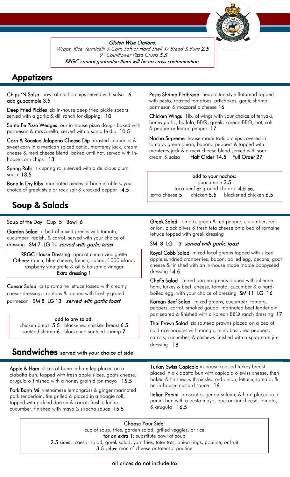

Gluten Wise Options: Wraps, Rice Vermicelli & Corn Soft or Hard Shell 1/ Bread & Buns 2.5 9" Cauliflower Pizza Crusts 5.5 RRGC cannot guarantee there will be no cross contamination.

## **Appetizers**

Chips 'N Salsa bowl of nacho chips served with salsa 6 add guacamole 3.5

Deep Fried Pickles six in-house deep fried pickle spears served with a garlic & dill ranch for dipping 10

Santa Fe Pizza Wedges our in-house pizza dough baked with parmesan & mozzarella, served with a santa fe dip 10.5

Corn & Roasted Jalapeno Cheese Dip roasted jalapenos & sweet corn in a mexican spiced cotija, monterey jack, cream cheese & mexi cheese blend baked until hot, served with inhouse corn chips 13

Spring Rolls six spring rolls served with a delicious plum sauce 13.5

Bone In Dry Ribs marinated pieces of bone in riblets, your choice of greek style or rock salt & cracked pepper 14.5

## Soup & Salads

i

 $\overline{a}$ 

#### Soup of the Day Cup 5 Bowl 6

Garden Salad a bed of mixed greens with tomato, cucumber, radish, & carrot, served with your choice of dressingSM 7 LG 10 served with garlic toast

RRGC House Dressing: apricot cumin vinaigrette Others: ranch, blue cheese, french, italian, 1000 island, raspberry vinaigrette & oil & balsamic vinegar Extra dressing 1

Caesar Salad crisp romaine lettuce tossed with creamy caesar dressing, croutons & topped with freshly grated parmesan SM 8 LG 13 served with garlic toast

#### add to any salad:

chicken breast 5.5 blackened chicken breast 6.5 sautéed shrimp 6 blackened sautéed shrimp 7

#### Sandwiches served with your choice of side

Apple & Ham slices of bone in ham leg placed on a ciabatta bun, topped with fresh apple slices, goats cheese, arugula & finished with a honey grain dijon mayo 15.5

Pork Banh Mi vietnamese lemongrass & ginger marinated pork tenderloin, fire grilled & placed in a hoagie roll, topped with pickled daikon & carrot, fresh cilantro, cucumber, finished with mayo & siracha sauce 15.5

Pesto Shrimp Flatbread neapolitan style flatbread topped with pesto, roasted tomatoes, artichokes, garlic shrimp, parmesan & mozzarella cheese 16

Chicken Wings 1lb. of wings with your choice of teriyaki, honey garlic, buffalo, BBQ, greek, korean BBQ, hot, salt & pepper or lemon pepper 17

Nacho Supreme house made tortilla chips covered in tomato, green onion, banana peppers & topped with monterey jack & a mexi cheese blend served with sour cream & salsa Half Order 14.5 Full Order 27

add to your nachos: guacamole 3.5 taco beef or ground chorizo 4.5 ea. extra cheese 5 chicken 5.5 blackened chicken 6.5

Greek Salad tomato, green & red pepper, cucumber, red onion, black olives & fresh feta cheese on a bed of romaine lettuce topped with greek dressing

#### SM 8 LG 13 served with garlic toast

Royal Cobb Salad mixed local greens topped with sliced apple sundried cranberries, bacon, boiled egg, pecans, goat cheese & finished with an in-house made maple poppyseed dressing 14.5

Chef's Salad mixed garden greens topped with julienne ham, turkey & beef, cheese, tomato, cucumber & a hardboiled egg, with your choice of dressing SM 11 LG 16

Korean Beef Salad mixed greens, cucumber, tomato, peppers, carrot, smoked gouda, marinated beef tenderloin pan seared & finished with a korean BBQ ranch dressing 17

Thai Prawn Salad six sauteed prawns placed on a bed of cold rice noodles with mango, mint, basil, red peppers, carrots, cucumber, & cashews finished with a spicy nam jim dressing 18

Turkey Swiss Capicola in-house roasted turkey breast placed in a ciabatta bun with capicola & swiss cheese, then baked & finished with pickled red onion, lettuce, tomato, & an in-house mustard sauce 16

Italian Panini prosciutto, genoa salami, & ham placed in a panini bun with a pesto mayo, bocconcini cheese, tomato, & arugula 16.5

Choose Your Side:

cup of soup, fries, garden salad, grilled veggies, or rice for an extra 1: substitute bowl of soup 2.5 sides: caesar salad, greek salad, yam fries, tater tots, onion rings, poutine, or fruit 3.5 sides: mac n' cheese or tater tot poutine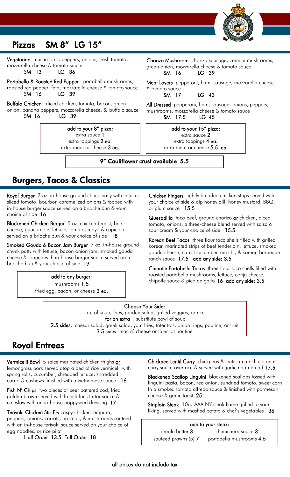

### Pizzas SM 8" LG 15"

Vegetarian mushrooms, peppers, onions, fresh tomato, mozzarella cheese & tomato sauce

SM 13 LG 36

٦

Portabella & Roasted Red Pepper portabella mushrooms, roasted red pepper, feta, mozzarella cheese & tomato sauce SM 16 LG 39

Buffalo Chicken diced chicken, tomato, bacon, green onion, banana peppers, mozzarella cheese, & buffalo sauce SM 16 LG 39

> add to your 8" pizza: extra sauce 1 extra toppings 2 ea. extra meat or cheese 3 ea.

> > $\overline{a}$

Chorizo Mushroom chorizo sausage, cremini mushrooms, green onion, mozzarella cheese & tomato sauce SM 16 LG 39

Meat Lovers pepperoni, ham, sausage, mozzarella cheese & tomato sauce

SM 17 LG 43

All Dressed pepperoni, ham, sausage, onions, peppers, mushrooms, mozzarella cheese & tomato sauce SM 17.5 LG 45

> add to your 15" pizza: extra sauce 2 extra toppings 4 ea. extra meat or cheese 5.5 ea.

9" Cauliflower crust available 5.5

## Burgers, Tacos & Classics

Royal Burger 7 oz. in-house ground chuck patty with lettuce, sliced tomato, bourbon caramelized onions & topped with in-house burger sauce served on a brioche bun & your choice of side 16

Blackened Chicken Burger 5 oz. chicken breast, brie cheese, guacamole, lettuce, tomato, mayo & capicola served on a brioche bun & your choice of side 18

Smoked Gouda & Bacon Jam Burger 7 oz. in-house ground chuck patty with lettuce, bacon onion jam, smoked gouda cheese & topped with in-house burger sauce served on a brioche bun & your choice of side 19

> add to any burger: mushrooms 1.5 fried egg, bacon, or cheese 2 ea.

> > ł

Chicken Fingers lightly breaded chicken strips served with your choice of side & dip honey dill, honey mustard, BBQ, or plum sauce 15.5

Quesadilla taco beef, ground chorizo or chicken, diced tomato, onions, a three-cheese blend served with salsa & sour cream & your choice of side 15.5

Korean Beef Tacos three flour taco shells filled with grilled korean marinated strips of beef tenderloin, lettuce, smoked gouda cheese, carrot cucumber kim chi, & korean barbeque ranch sauce 17.5 add any side: 3.5

Chipotle Portabella Tacos three flour taco shells filled with roasted portabella mushrooms, lettuce, cotija cheese, chipotle sauce & pico de gallo  $16$  add any side:  $3.5$ 

Choose Your Side: cup of soup, fries, garden salad, grilled veggies, or rice for an extra 1 substitute bowl of soup 2.5 sides: caesar salad, greek salad, yam fries, tater tots, onion rings, poutine, or fruit 3.5 sides: mac n' cheese or tater tot poutine Ξ

## Royal Entrees

Vermicelli Bowl 5 spice marinated chicken thighs or lemongrass pork served atop a bed of rice vermicelli with spring rolls, cucumber, shredded lettuce, shrredded carrot & cashews finished with a vietnamese sauce 16

 Fish N' Chips two pieces of beer battered cod, fried golden brown served with french fries tartar sauce & coleslaw with an in-house poppyseed dressing 17

Teriyaki Chicken Stir-Fry crispy chicken tempura, peppers, onions, carrots, broccoli, & mushrooms sauteed with an in-house teriyaki sauce served on your choice of egg noodles, or rice pilaf

Half Order 13.5 Full Order 18

Chickpea Lentil Curry chickpeas & lentils in a rich coconut curry sauce over rice & served with garlic naan bread 17.5

Blackened Scallop Linguini blackened scallops tossed with linguini pasta, bacon, red onion, sundried tomato, sweet corn In a smoked tomato alfredo sauce & finished with parmesan cheese & garlic toast 25

Striploin Steak 10oz AAA NY steak flame grilled to your liking, served with mashed potato & chef's vegetables 36

| add to your steak:   |                          |
|----------------------|--------------------------|
| creole butter 3      | chimichurri sauce 3      |
| sauteed prawns (5) 7 | portabella mushrooms 4.5 |
|                      |                          |